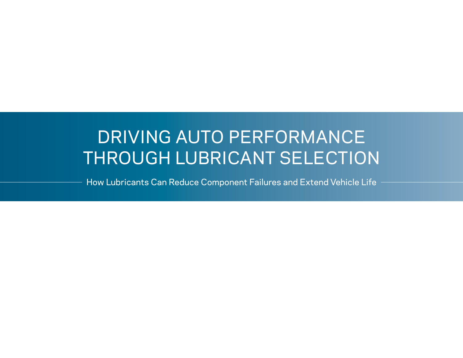# DRIVING AUTO PERFORMANCE THROUGH LUBRICANT SELECTION

How Lubricants Can Reduce Component Failures and Extend Vehicle Life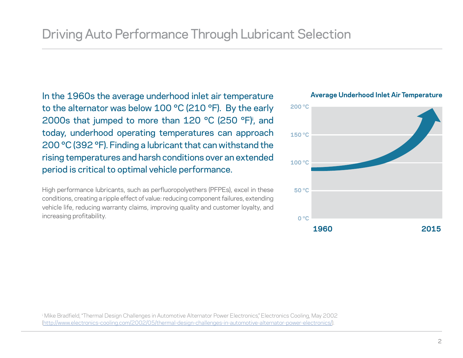In the 1960s the average underhood inlet air temperature to the alternator was below 100 °C (210 °F). By the early 2000s that jumped to more than 120 °C (250 °F)i , and today, underhood operating temperatures can approach 200 °C (392 °F). Finding a lubricant that can withstand the rising temperatures and harsh conditions over an extended period is critical to optimal vehicle performance.

High performance lubricants, such as perfluoropolyethers (PFPEs), excel in these conditions, creating a ripple effect of value: reducing component failures, extending vehicle life, reducing warranty claims, improving quality and customer loyalty, and increasing profitability.



#### **Average Underhood Inlet Air Temperature**

<sup>i.</sup> Mike Bradfield, "Thermal Design Challenges in Automotive Alternator Power Electronics," Electronics Cooling, May 2002 [\(http://www.electronics-cooling.com/2002/05/thermal-design-challenges-in-automotive-alternator-power-electronics/](http://www.electronics-cooling.com/2002/05/thermal-design-challenges-in-automotive-alternator-power-electronics/)).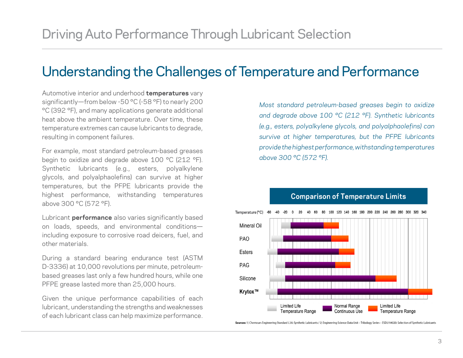## Understanding the Challenges of Temperature and Performance

Automotive interior and underhood **temperatures** vary significantly—from below -50 °C (-58 °F) to nearly 200 °C (392 °F), and many applications generate additional heat above the ambient temperature. Over time, these temperature extremes can cause lubricants to degrade, resulting in component failures.

For example, most standard petroleum-based greases begin to oxidize and degrade above 100 °C (212 °F). Synthetic lubricants (e.g., esters, polyalkylene glycols, and polyalphaolefins) can survive at higher temperatures, but the PFPE lubricants provide the highest performance, withstanding temperatures above 300 °C (572 °F).

Lubricant **performance** also varies significantly based on loads, speeds, and environmental conditions including exposure to corrosive road deicers, fuel, and other materials.

During a standard bearing endurance test (ASTM D-3336) at 10,000 revolutions per minute, petroleumbased greases last only a few hundred hours, while one PFPE grease lasted more than 25,000 hours.

Given the unique performance capabilities of each lubricant, understanding the strengths and weaknesses of each lubricant class can help maximize performance.

*Most standard petroleum-based greases begin to oxidize and degrade above 100 °C (212 °F). Synthetic lubricants (e.g., esters, polyalkylene glycols, and polyalphaolefins) can survive at higher temperatures, but the PFPE lubricants provide the highest performance, withstanding temperatures above 300 °C (572 °F).*



### **Comparison of Temperature Limits**

-60 -40 -20 0 20 40 60 80 100 140 160 180 200 240 280 320

Sources: 1) Chemours Engineering Standard L3A: Synthetic Lubricants / 2) Engineering Science Data Unit - Tribology Series - ESDU 94020: Selection of Synthetic Lubricants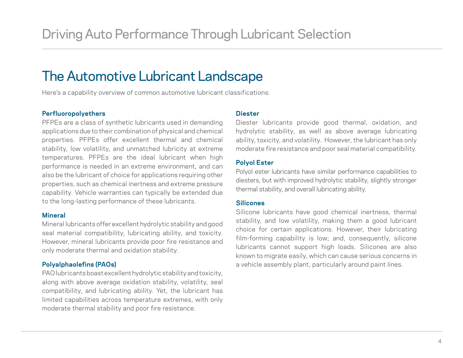## The Automotive Lubricant Landscape

Here's a capability overview of common automotive lubricant classifications:

#### **Perfluoropolyethers**

PFPEs are a class of synthetic lubricants used in demanding applications due to their combination of physical and chemical properties. PFPEs offer excellent thermal and chemical stability, low volatility, and unmatched lubricity at extreme temperatures. PFPEs are the ideal lubricant when high performance is needed in an extreme environment, and can also be the lubricant of choice for applications requiring other properties, such as chemical inertness and extreme pressure capability. Vehicle warranties can typically be extended due to the long-lasting performance of these lubricants.

#### **Mineral**

Mineral lubricants offer excellent hydrolytic stability and good seal material compatibility, lubricating ability, and toxicity. However, mineral lubricants provide poor fire resistance and only moderate thermal and oxidation stability.

#### **Polyalphaolefins (PAOs)**

PAO lubricants boast excellent hydrolytic stability and toxicity, along with above average oxidation stability, volatility, seal compatibility, and lubricating ability. Yet, the lubricant has limited capabilities across temperature extremes, with only moderate thermal stability and poor fire resistance.

#### **Diester**

Diester lubricants provide good thermal, oxidation, and hydrolytic stability, as well as above average lubricating ability, toxicity, and volatility. However, the lubricant has only moderate fire resistance and poor seal material compatibility.

#### **Polyol Ester**

Polyol ester lubricants have similar performance capabilities to diesters, but with improved hydrolytic stability, slightly stronger thermal stability, and overall lubricating ability.

#### **Silicones**

Silicone lubricants have good chemical inertness, thermal stability, and low volatility, making them a good lubricant choice for certain applications. However, their lubricating film-forming capability is low; and, consequently, silicone lubricants cannot support high loads. Silicones are also known to migrate easily, which can cause serious concerns in a vehicle assembly plant, particularly around paint lines.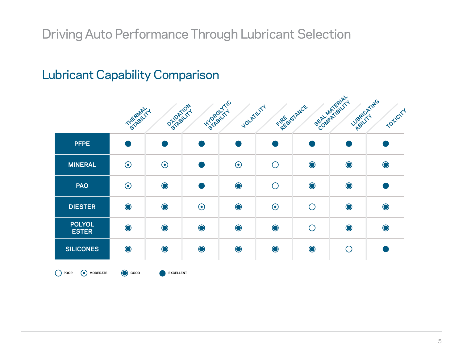# Lubricant Capability Comparison

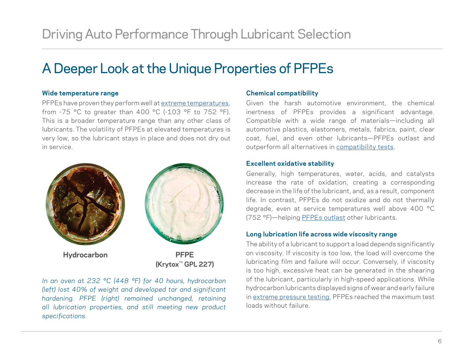# A Deeper Look at the Unique Properties of PFPEs

#### **Wide temperature range**

PFPEs have proven they perform well at [extreme temperatures](http://pages.chemours.com/Krytox-Lubricants-high-temp-auto-data.html?utm_source=Whitepaper&utm_medium=internal_link&utm_term=temp_data&utm_content=whitepaper_auto_101&utm_campaign=Krytox_Auto), from -75 °C to greater than 400 °C (-103 °F to 752 °F). This is a broader temperature range than any other class of lubricants. The volatility of PFPEs at elevated temperatures is very low, so the lubricant stays in place and does not dry out in service.



*In an oven at 232 °C (448 °F) for 40 hours, hydrocarbon (left) lost 40% of weight and developed tar and significant hardening. PFPE (right) remained unchanged, retaining all lubrication properties, and still meeting new product specifications.*

#### **Chemical compatibility**

Given the harsh automotive environment, the chemical inertness of PFPEs provides a significant advantage. Compatible with a wide range of materials—including all automotive plastics, elastomers, metals, fabrics, paint, clear coat, fuel, and even other lubricants—PFPEs outlast and outperform all alternatives in [compatibility tests](http://pages.chemours.com/Krytox-Lubricants-compatibility-auto-data.html?utm_source=Whitepaper&utm_medium=internal_link&utm_term=compatibility_data&utm_content=whitepaper_auto_101&utm_campaign=Krytox_Auto).

#### **Excellent oxidative stability**

Generally, high temperatures, water, acids, and catalysts increase the rate of oxidation, creating a corresponding decrease in the life of the lubricant, and, as a result, component life. In contrast, PFPEs do not oxidize and do not thermally degrade, even at service temperatures well above 400 °C (752 °F)—helping [PFPEs outlast](http://pages.chemours.com/Krytox-Lubricants-lasting-auto-performance-data.html?utm_source=Whitepaper&utm_medium=internal_link&utm_term=time_data&utm_content=whitepaper_auto_101&utm_campaign=Krytox_Auto) other lubricants.

#### **Long lubrication life across wide viscosity range**

The ability of a lubricant to support a load depends significantly on viscosity. If viscosity is too low, the load will overcome the lubricating film and failure will occur. Conversely, if viscosity is too high, excessive heat can be generated in the shearing of the lubricant, particularly in high-speed applications. While hydrocarbon lubricants displayed signs of wear and early failure in [extreme pressure testing](http://pages.chemours.com/Krytox-Lubricants-extreme-pressure-data.html?utm_source=Whitepaper&utm_medium=internal_link&utm_term=pressure_data&utm_content=whitepaper_auto_101&utm_campaign=Krytox_Auto), PFPEs reached the maximum test loads without failure.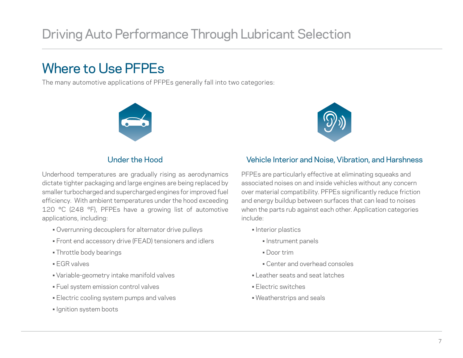# Driving Auto Performance Through Lubricant Selection

# Where to Use PFPEs

The many automotive applications of PFPEs generally fall into two categories:





### Under the Hood

Underhood temperatures are gradually rising as aerodynamics dictate tighter packaging and large engines are being replaced by smaller turbocharged and supercharged engines for improved fuel efficiency. With ambient temperatures under the hood exceeding 120 °C (248 °F), PFPEs have a growing list of automotive applications, including:

- Overrunning decouplers for alternator drive pulleys
- Front end accessory drive (FEAD) tensioners and idlers
- Throttle body bearings
- EGR valves
- Variable-geometry intake manifold valves
- Fuel system emission control valves
- Electric cooling system pumps and valves
- Ignition system boots

### Vehicle Interior and Noise, Vibration, and Harshness

PFPEs are particularly effective at eliminating squeaks and associated noises on and inside vehicles without any concern over material compatibility. PFPEs significantly reduce friction and energy buildup between surfaces that can lead to noises when the parts rub against each other. Application categories include:

- Interior plastics
	- Instrument panels
	- Door trim
	- Center and overhead consoles
- Leather seats and seat latches
- Electric switches
- Weatherstrips and seals